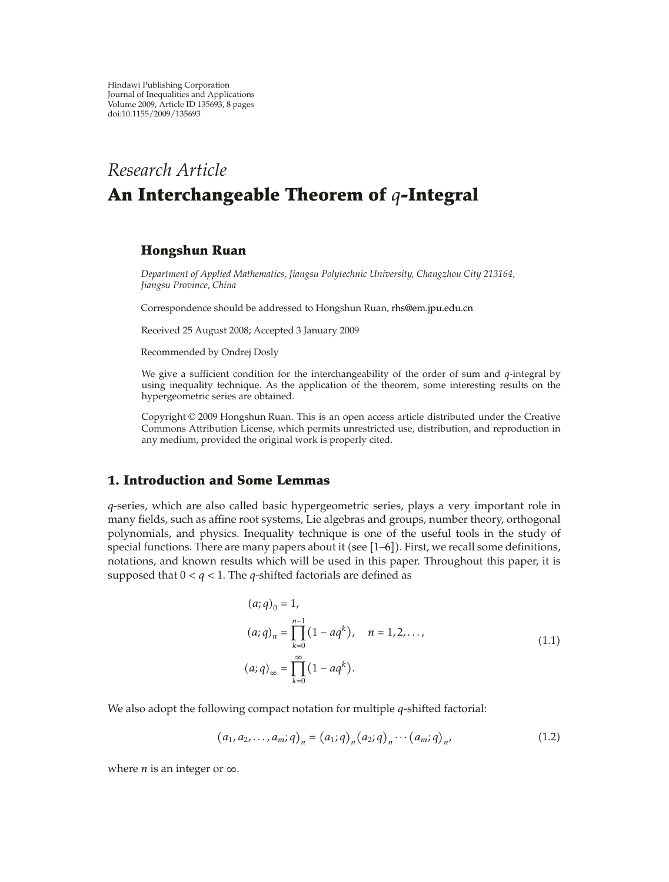Hindawi Publishing Corporation Journal of Inequalities and Applications Volume 2009, Article ID 135693, 8 pages doi:10.1155/2009/135693

# *Research Article* **An Interchangeable Theorem of** *q***-Integral**

## **Hongshun Ruan**

*Department of Applied Mathematics, Jiangsu Polytechnic University, Changzhou City 213164, Jiangsu Province, China*

Correspondence should be addressed to Hongshun Ruan, rhs@em.jpu.edu.cn

Received 25 August 2008; Accepted 3 January 2009

Recommended by Ondrej Dosly

We give a sufficient condition for the interchangeability of the order of sum and *q*-integral by using inequality technique. As the application of the theorem, some interesting results on the hypergeometric series are obtained.

Copyright © 2009 Hongshun Ruan. This is an open access article distributed under the Creative Commons Attribution License, which permits unrestricted use, distribution, and reproduction in any medium, provided the original work is properly cited.

## **1. Introduction and Some Lemmas**

*q*-series, which are also called basic hypergeometric series, plays a very important role in many fields, such as affine root systems, Lie algebras and groups, number theory, orthogonal polynomials, and physics. Inequality technique is one of the useful tools in the study of special functions. There are many papers about it (see  $[1-6]$ ). First, we recall some definitions, notations, and known results which will be used in this paper. Throughout this paper, it is supposed that  $0 < q < 1$ . The *q*-shifted factorials are defined as

$$
(a;q)_0 = 1,
$$
  
\n
$$
(a;q)_n = \prod_{k=0}^{n-1} (1 - aq^k), \quad n = 1,2,...,
$$
  
\n
$$
(a;q)_\infty = \prod_{k=0}^{\infty} (1 - aq^k).
$$
\n(1.1)

We also adopt the following compact notation for multiple *q*-shifted factorial:

$$
(a_1, a_2,..., a_m; q)_n = (a_1; q)_n (a_2; q)_n \cdots (a_m; q)_n,
$$
\n(1.2)

where *n* is an integer or  $\infty$ .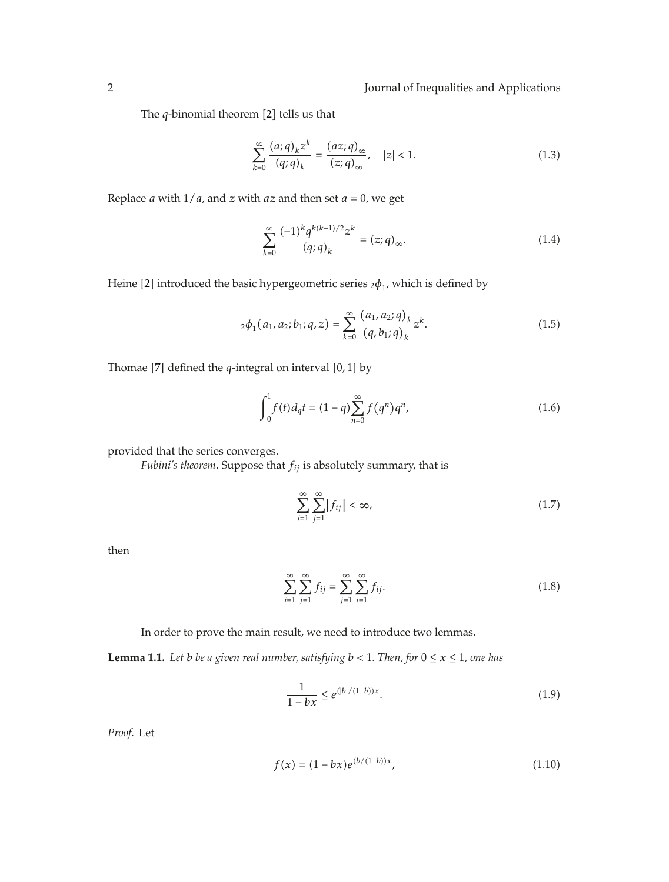The  $q$ -binomial theorem  $[2]$  tells us that

$$
\sum_{k=0}^{\infty} \frac{(a;q)_k z^k}{(q;q)_k} = \frac{(az;q)_{\infty}}{(z;q)_{\infty}}, \quad |z| < 1. \tag{1.3}
$$

Replace *a* with  $1/a$ , and *z* with *az* and then set  $a = 0$ , we get

$$
\sum_{k=0}^{\infty} \frac{(-1)^k q^{k(k-1)/2} z^k}{(q;q)_k} = (z;q)_{\infty}.
$$
 (1.4)

Heine [2] introduced the basic hypergeometric series  $_2\phi_1$ , which is defined by

$$
{}_2\phi_1(a_1, a_2; b_1; q, z) = \sum_{k=0}^{\infty} \frac{(a_1, a_2; q)_k}{(q, b_1; q)_k} z^k.
$$
 (1.5)

Thomae [7] defined the  $q$ -integral on interval  $[0,1]$  by

$$
\int_0^1 f(t)d_qt = (1-q)\sum_{n=0}^\infty f(q^n)q^n,
$$
\n(1.6)

provided that the series converges.

*Fubini's theorem*. Suppose that *fij* is absolutely summary, that is

$$
\sum_{i=1}^{\infty} \sum_{j=1}^{\infty} |f_{ij}| < \infty,\tag{1.7}
$$

then

$$
\sum_{i=1}^{\infty} \sum_{j=1}^{\infty} f_{ij} = \sum_{j=1}^{\infty} \sum_{i=1}^{\infty} f_{ij}.
$$
 (1.8)

In order to prove the main result, we need to introduce two lemmas.

**Lemma 1.1.** Let *b be a given real number, satisfying*  $b < 1$ *. Then, for*  $0 \le x \le 1$ *, one has* 

$$
\frac{1}{1 - bx} \le e^{(|b|/(1 - b))x}.
$$
\n(1.9)

*Proof.* Let

$$
f(x) = (1 - bx)e^{(b/(1-b))x},
$$
\n(1.10)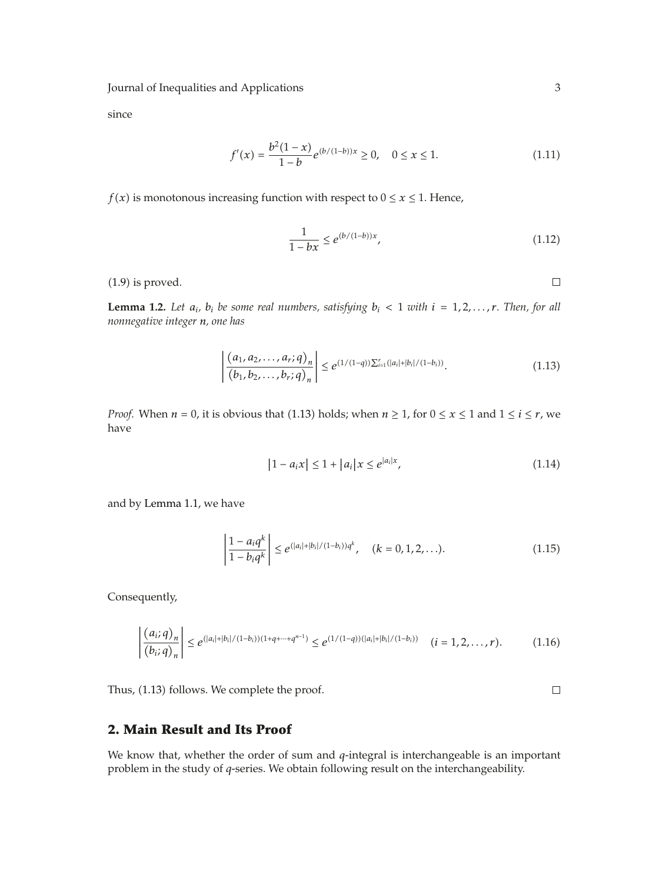since

$$
f'(x) = \frac{b^2(1-x)}{1-b} e^{(b/(1-b))x} \ge 0, \quad 0 \le x \le 1.
$$
 (1.11)

*f*(*x*) is monotonous increasing function with respect to  $0 \le x \le 1$ . Hence,

$$
\frac{1}{1 - bx} \le e^{(b/(1-b))x},\tag{1.12}
$$

 $(1.9)$  is proved.

 $\Box$ 

**Lemma 1.2.** Let  $a_i$ ,  $b_i$  be some real numbers, satisfying  $b_i < 1$  with  $i = 1, 2, ..., r$ . Then, for all *nonnegative integer n, one has*

$$
\left| \frac{(a_1, a_2, \dots, a_r; q)_n}{(b_1, b_2, \dots, b_r; q)_n} \right| \le e^{(1/(1-q))\sum_{i=1}^r (|a_i|+|b_i|/(1-b_i))}.
$$
\n(1.13)

*Proof.* When *n* = 0, it is obvious that (1.13) holds; when *n*  $\geq$  1, for  $0 \leq x \leq 1$  and  $1 \leq i \leq r$ , we have

$$
|1 - a_i x| \le 1 + |a_i| x \le e^{|a_i| x}, \tag{1.14}
$$

and by Lemma 1.1, we have

$$
\left|\frac{1-a_i q^k}{1-b_i q^k}\right| \leq e^{(|a_i|+|b_i|/(1-b_i))q^k}, \quad (k=0,1,2,\ldots).
$$
 (1.15)

Consequently,

$$
\left|\frac{(a_i;q)_n}{(b_i;q)_n}\right| \leq e^{(|a_i|+|b_i|/(1-b_i))(1+q+\cdots+q^{n-1})} \leq e^{(1/(1-q))(|a_i|+|b_i|/(1-b_i))} \quad (i=1,2,\ldots,r).
$$
 (1.16)

Thus, (1.13) follows. We complete the proof.

 $\Box$ 

#### **2. Main Result and Its Proof**

We know that, whether the order of sum and *q*-integral is interchangeable is an important problem in the study of *q*-series. We obtain following result on the interchangeability.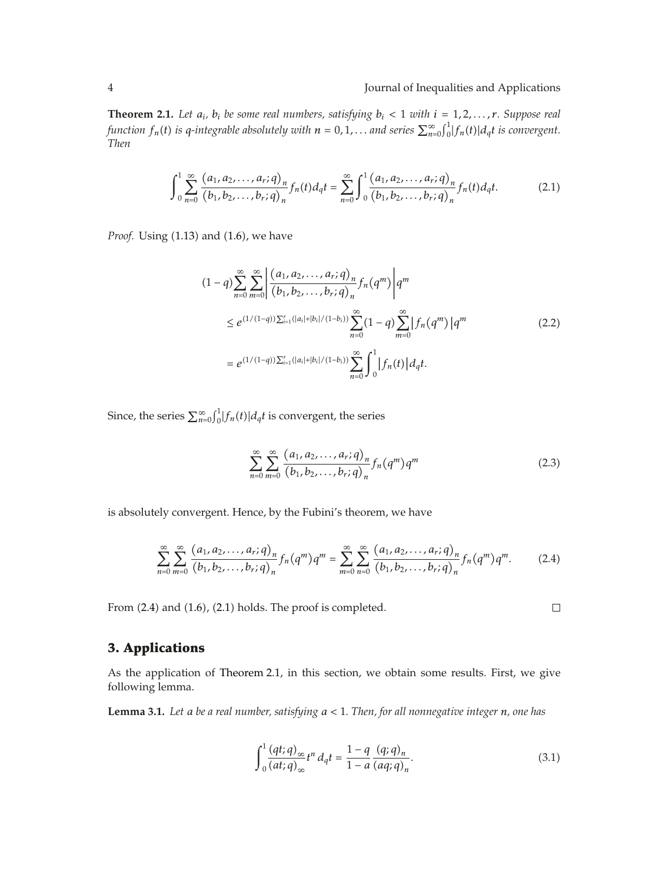**Theorem 2.1.** Let  $a_i$ ,  $b_i$  be some real numbers, satisfying  $b_i < 1$  with  $i = 1, 2, ..., r$ . Suppose real *function*  $f_n(t)$  *is q-integrable absolutely with*  $n = 0, 1, ...$  *and series*  $\sum_{n=0}^{\infty} \int_0^1 |f_n(t)| d_q t$  *is convergent. Then*

$$
\int_{0}^{1} \sum_{n=0}^{\infty} \frac{(a_1, a_2, \dots, a_r; q)_n}{(b_1, b_2, \dots, b_r; q)_n} f_n(t) d_q t = \sum_{n=0}^{\infty} \int_{0}^{1} \frac{(a_1, a_2, \dots, a_r; q)_n}{(b_1, b_2, \dots, b_r; q)_n} f_n(t) d_q t.
$$
 (2.1)

*Proof.* Using (1.13) and (1.6), we have

$$
(1-q)\sum_{n=0}^{\infty}\sum_{m=0}^{\infty}\left|\frac{(a_1,a_2,\ldots,a_r;q)_n}{(b_1,b_2,\ldots,b_r;q)_n}f_n(q^m)\right|q^m
$$
  
\n
$$
\leq e^{(1/(1-q))\sum_{i=1}^r(|a_i|+|b_i|/(1-b_i))}\sum_{n=0}^{\infty}(1-q)\sum_{m=0}^{\infty}|f_n(q^m)|q^m
$$
  
\n
$$
= e^{(1/(1-q))\sum_{i=1}^r(|a_i|+|b_i|/(1-b_i))}\sum_{n=0}^{\infty}\int_0^1|f_n(t)|dqt.
$$
 (2.2)

Since, the series  $\sum_{n=0}^{\infty} \int_{0}^{1} |f_n(t)| d_q t$  is convergent, the series

$$
\sum_{n=0}^{\infty} \sum_{m=0}^{\infty} \frac{(a_1, a_2, \dots, a_r; q)_n}{(b_1, b_2, \dots, b_r; q)_n} f_n(q^m) q^m \tag{2.3}
$$

 $\Box$ 

is absolutely convergent. Hence, by the Fubini's theorem, we have

$$
\sum_{n=0}^{\infty} \sum_{m=0}^{\infty} \frac{(a_1, a_2, \dots, a_r; q)_n}{(b_1, b_2, \dots, b_r; q)_n} f_n(q^m) q^m = \sum_{m=0}^{\infty} \sum_{n=0}^{\infty} \frac{(a_1, a_2, \dots, a_r; q)_n}{(b_1, b_2, \dots, b_r; q)_n} f_n(q^m) q^m.
$$
 (2.4)

From  $(2.4)$  and  $(1.6)$ ,  $(2.1)$  holds. The proof is completed.

## **3. Applications**

As the application of Theorem 2.1, in this section, we obtain some results. First, we give following lemma.

**Lemma 3.1.** *Let a be a real number, satisfying a <* 1*. Then, for all nonnegative integer n, one has*

$$
\int_0^1 \frac{(qt;q)_{\infty}}{(at;q)_{\infty}} t^n d_qt = \frac{1-q}{1-a} \frac{(q;q)_n}{(aq;q)_n}.
$$
\n(3.1)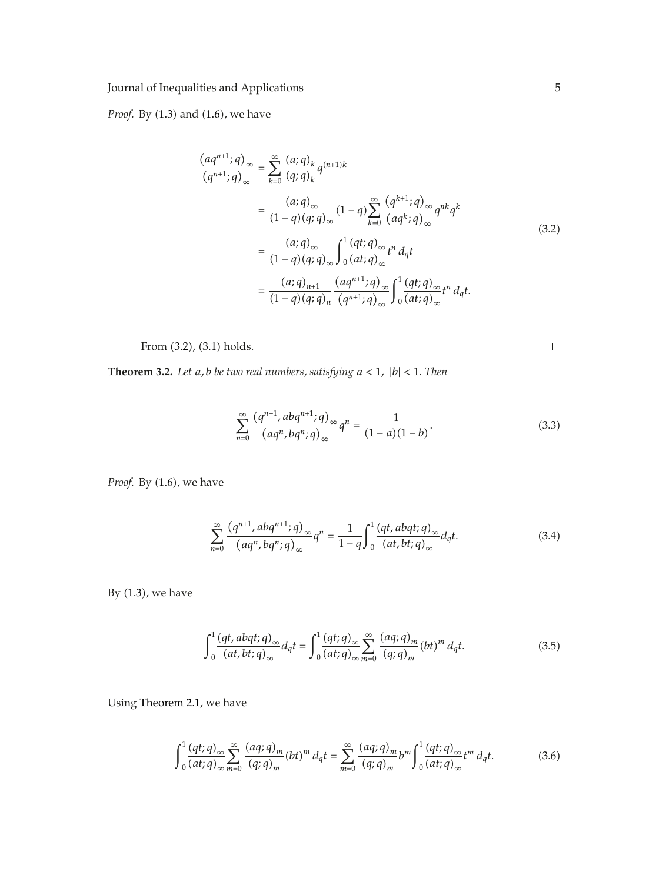*Proof.* By (1.3) and (1.6), we have

$$
\frac{(aq^{n+1};q)_{\infty}}{(q^{n+1};q)_{\infty}} = \sum_{k=0}^{\infty} \frac{(a;q)_k}{(q;q)_k} q^{(n+1)k}
$$
\n
$$
= \frac{(a;q)_{\infty}}{(1-q)(q;q)_{\infty}} (1-q) \sum_{k=0}^{\infty} \frac{(q^{k+1};q)_{\infty}}{(aq^k;q)_{\infty}} q^{nk} q^k
$$
\n
$$
= \frac{(a;q)_{\infty}}{(1-q)(q;q)_{\infty}} \int_0^1 \frac{(qt;q)_{\infty}}{(at;q)_{\infty}} t^n d_q t
$$
\n
$$
= \frac{(a;q)_{n+1}}{(1-q)(q;q)_n} \frac{(aq^{n+1};q)_{\infty}}{(q^{n+1};q)_{\infty}} \int_0^1 \frac{(qt;q)_{\infty}}{(at;q)_{\infty}} t^n d_q t.
$$
\n(3.2)

From  $(3.2)$ ,  $(3.1)$  holds.

 $\Box$ 

**Theorem 3.2.** *Let a, b be two real numbers, satisfying a <* <sup>1</sup>*,* <sup>|</sup>*b*<sup>|</sup> *<sup>&</sup>lt;* <sup>1</sup>*. Then*

$$
\sum_{n=0}^{\infty} \frac{(q^{n+1}, abq^{n+1}; q)_{\infty}}{(aq^n, bq^n; q)_{\infty}} q^n = \frac{1}{(1-a)(1-b)}.
$$
\n(3.3)

*Proof.* By (1.6), we have

$$
\sum_{n=0}^{\infty} \frac{\left(q^{n+1}, abq^{n+1}; q\right)_{\infty}}{\left(aq^n, bq^n; q\right)_{\infty}} q^n = \frac{1}{1-q} \int_0^1 \frac{\left(qt, abqt; q\right)_{\infty}}{\left(at, bt; q\right)_{\infty}} d_q t. \tag{3.4}
$$

By  $(1.3)$ , we have

$$
\int_0^1 \frac{(qt, abqt;q)_\infty}{(at, bt;q)_\infty} d_qt = \int_0^1 \frac{(qt;q)_\infty}{(at;q)_\infty} \sum_{m=0}^\infty \frac{(aq;q)_m}{(q;q)_m} (bt)^m d_qt.
$$
 (3.5)

Using Theorem 2.1, we have

$$
\int_0^1 \frac{(qt;q)_{\infty}}{(at;q)_{\infty}} \sum_{m=0}^{\infty} \frac{(aq;q)_m}{(q;q)_m} (bt)^m d_q t = \sum_{m=0}^{\infty} \frac{(aq;q)_m}{(q;q)_m} b^m \int_0^1 \frac{(qt;q)_{\infty}}{(at;q)_{\infty}} t^m d_q t.
$$
 (3.6)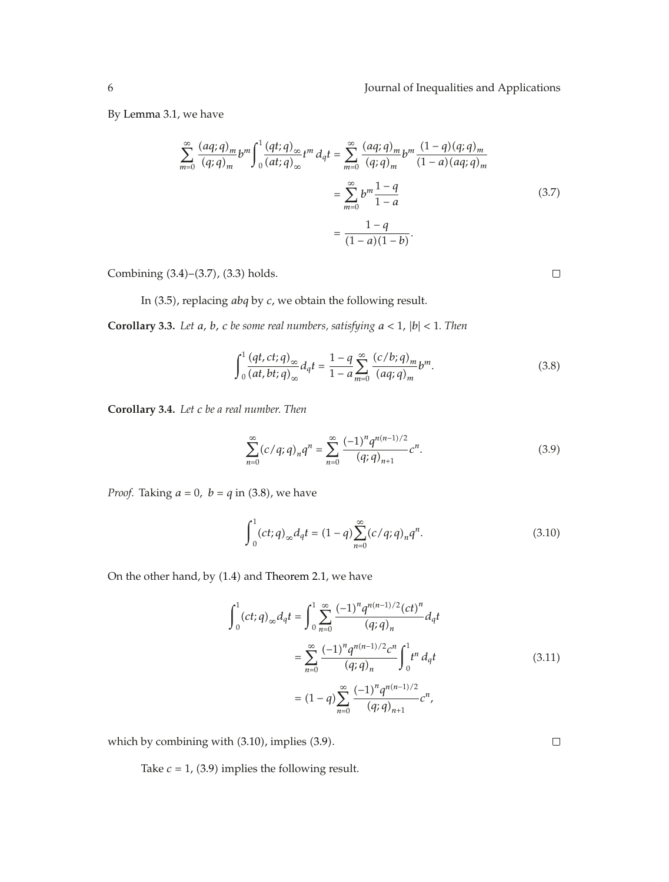$\Box$ 

 $\Box$ 

By Lemma 3.1, we have

$$
\sum_{m=0}^{\infty} \frac{(aq;q)_m}{(q;q)_m} b^m \int_0^1 \frac{(qt;q)_{\infty}}{(at;q)_{\infty}} t^m d_q t = \sum_{m=0}^{\infty} \frac{(aq;q)_m}{(q;q)_m} b^m \frac{(1-q)(q;q)_m}{(1-a)(aq;q)_m}
$$

$$
= \sum_{m=0}^{\infty} b^m \frac{1-q}{1-a}
$$
(3.7)
$$
= \frac{1-q}{(1-a)(1-b)}.
$$

Combining  $(3.4)$ – $(3.7)$ ,  $(3.3)$  holds.

In 3.5, replacing *abq* by *c*, we obtain the following result.

**Corollary 3.3.** *Let a, b, c be some real numbers, satisfying a <* <sup>1</sup>*,* <sup>|</sup>*b*<sup>|</sup> *<sup>&</sup>lt;* <sup>1</sup>*. Then*

$$
\int_0^1 \frac{(qt,ct;q)_{\infty}}{(at,bt;q)_{\infty}} d_qt = \frac{1-q}{1-a} \sum_{m=0}^{\infty} \frac{(c/b;q)_m}{(aq;q)_m} b^m.
$$
 (3.8)

**Corollary 3.4.** *Let c be a real number. Then*

$$
\sum_{n=0}^{\infty} (c/q;q)_n q^n = \sum_{n=0}^{\infty} \frac{(-1)^n q^{n(n-1)/2}}{(q;q)_{n+1}} c^n.
$$
 (3.9)

*Proof.* Taking  $a = 0$ ,  $b = q$  in (3.8), we have

$$
\int_{0}^{1} (ct;q)_{\infty} dq t = (1-q) \sum_{n=0}^{\infty} (c/q;q)_n q^n.
$$
 (3.10)

On the other hand, by  $(1.4)$  and Theorem 2.1, we have

$$
\int_{0}^{1} (ct;q)_{\infty} d_{q}t = \int_{0}^{1} \sum_{n=0}^{\infty} \frac{(-1)^{n} q^{n(n-1)/2} (ct)^{n}}{(q;q)_{n}} d_{q}t
$$

$$
= \sum_{n=0}^{\infty} \frac{(-1)^{n} q^{n(n-1)/2} c^{n}}{(q;q)_{n}} \int_{0}^{1} t^{n} d_{q}t
$$

$$
= (1-q) \sum_{n=0}^{\infty} \frac{(-1)^{n} q^{n(n-1)/2}}{(q;q)_{n+1}} c^{n},
$$
(3.11)

which by combining with  $(3.10)$ , implies  $(3.9)$ .

Take  $c = 1$ , (3.9) implies the following result.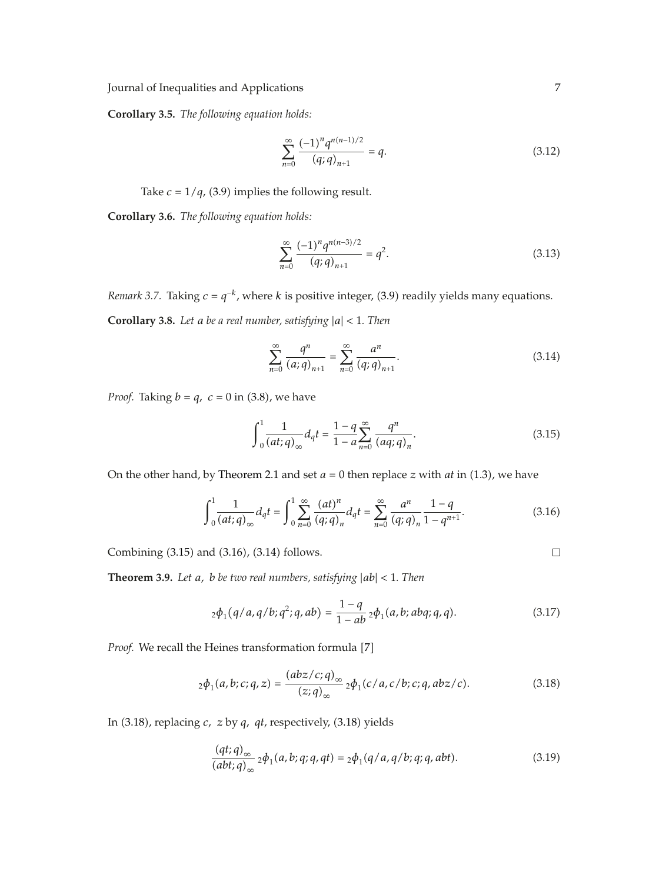**Corollary 3.5.** *The following equation holds:*

$$
\sum_{n=0}^{\infty} \frac{(-1)^n q^{n(n-1)/2}}{(q;q)_{n+1}} = q.
$$
\n(3.12)

Take  $c = 1/q$ , (3.9) implies the following result.

**Corollary 3.6.** *The following equation holds:*

$$
\sum_{n=0}^{\infty} \frac{(-1)^n q^{n(n-3)/2}}{(q;q)_{n+1}} = q^2.
$$
 (3.13)

*Remark 3.7.* Taking  $c = q^{-k}$ , where *k* is positive integer, (3.9) readily yields many equations.

**Corollary 3.8.** *Let <sup>a</sup> be a real number, satisfying* <sup>|</sup>*a*<sup>|</sup> *<sup>&</sup>lt;* <sup>1</sup>*. Then*

$$
\sum_{n=0}^{\infty} \frac{q^n}{(a;q)_{n+1}} = \sum_{n=0}^{\infty} \frac{a^n}{(q;q)_{n+1}}.
$$
 (3.14)

*Proof.* Taking  $b = q$ ,  $c = 0$  in (3.8), we have

$$
\int_{0}^{1} \frac{1}{(at;q)_{\infty}} d_{q} t = \frac{1-q}{1-a} \sum_{n=0}^{\infty} \frac{q^{n}}{(aq;q)_{n}}.
$$
 (3.15)

On the other hand, by Theorem 2.1 and set  $a = 0$  then replace  $z$  with  $at$  in (1.3), we have

$$
\int_0^1 \frac{1}{(at;q)_{\infty}} d_q t = \int_0^1 \sum_{n=0}^{\infty} \frac{(at)^n}{(q;q)_n} d_q t = \sum_{n=0}^{\infty} \frac{a^n}{(q;q)_n} \frac{1-q}{1-q^{n+1}}.
$$
 (3.16)

Combining  $(3.15)$  and  $(3.16)$ ,  $(3.14)$  follows.

**Theorem 3.9.** *Let a, b be two real numbers, satisfying* <sup>|</sup>*ab*<sup>|</sup> *<sup>&</sup>lt;* <sup>1</sup>*. Then*

$$
{}_2\phi_1(q/a,q/b;q^2;q,ab) = \frac{1-q}{1-ab} \, {}_2\phi_1(a,b;abq;q,q).
$$
 (3.17)

*Proof.* We recall the Heines transformation formula [7]

$$
{}_2\phi_1(a,b;c;q,z) = \frac{(abz/c;q)_{\infty}}{(z;q)_{\infty}} {}_2\phi_1(c/a,c/b;c;q,abz/c).
$$
 (3.18)

In (3.18), replacing *c*, *z* by *q*, *qt*, respectively, (3.18) yields

$$
\frac{(qt;q)_{\infty}}{(abt;q)_{\infty}} 2\phi_1(a,b;q;q,qt) = 2\phi_1(q/a,q/b;q;q,abt).
$$
 (3.19)

 $\Box$